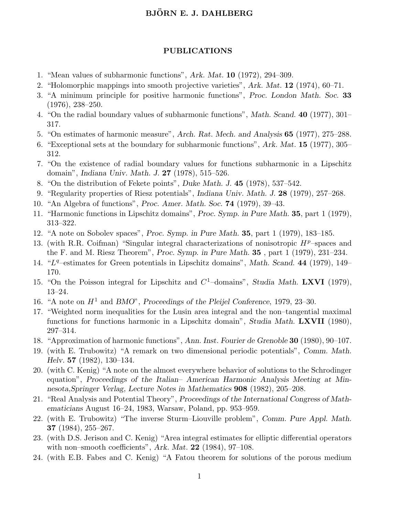## BJÖRN E. J. DAHLBERG

## PUBLICATIONS

- 1. "Mean values of subharmonic functions", Ark. Mat. 10 (1972), 294–309.
- 2. "Holomorphic mappings into smooth projective varieties", Ark. Mat. 12 (1974), 60–71.
- 3. "A minimum principle for positive harmonic functions", Proc. London Math. Soc. 33 (1976), 238–250.
- 4. "On the radial boundary values of subharmonic functions", Math. Scand. 40 (1977), 301– 317.
- 5. "On estimates of harmonic measure", Arch. Rat. Mech. and Analysis 65 (1977), 275–288.
- 6. "Exceptional sets at the boundary for subharmonic functions", Ark. Mat. 15 (1977), 305– 312.
- 7. "On the existence of radial boundary values for functions subharmonic in a Lipschitz domain", Indiana Univ. Math. J. 27 (1978), 515–526.
- 8. "On the distribution of Fekete points", Duke Math. J. 45 (1978), 537–542.
- 9. "Regularity properties of Riesz potentials", Indiana Univ. Math. J. 28 (1979), 257–268.
- 10. "An Algebra of functions", Proc. Amer. Math. Soc. 74 (1979), 39–43.
- 11. "Harmonic functions in Lipschitz domains", Proc. Symp. in Pure Math. 35, part 1 (1979), 313–322.
- 12. "A note on Sobolev spaces", Proc. Symp. in Pure Math. 35, part 1 (1979), 183–185.
- 13. (with R.R. Coifman) "Singular integral characterizations of nonisotropic  $H^p$ –spaces and the F. and M. Riesz Theorem", Proc. Symp. in Pure Math. 35 , part 1 (1979), 231–234.
- 14. "L<sup>q</sup>-estimates for Green potentials in Lipschitz domains", Math. Scand. 44 (1979), 149– 170.
- 15. "On the Poisson integral for Lipschitz and  $C^1$ -domains", Studia Math. LXVI (1979), 13–24.
- 16. "A note on  $H^1$  and BMO", Proceedings of the Pleijel Conference, 1979, 23-30.
- 17. "Weighted norm inequalities for the Lusin area integral and the non–tangential maximal functions for functions harmonic in a Lipschitz domain", Studia Math. LXVII (1980), 297–314.
- 18. "Approximation of harmonic functions", Ann. Inst. Fourier de Grenoble 30 (1980), 90–107.
- 19. (with E. Trubowitz) "A remark on two dimensional periodic potentials", Comm. Math. Helv. 57 (1982), 130–134.
- 20. (with C. Kenig) "A note on the almost everywhere behavior of solutions to the Schrodinger equation", Proceedings of the Italian– American Harmonic Analysis Meeting at Minnesota,Springer Verlag, Lecture Notes in Mathematics 908 (1982), 205–208.
- 21. "Real Analysis and Potential Theory", Proceedings of the International Congress of Mathematicians August 16–24, 1983, Warsaw, Poland, pp. 953–959.
- 22. (with E. Trubowitz) "The inverse Sturm–Liouville problem", Comm. Pure Appl. Math. 37 (1984), 255–267.
- 23. (with D.S. Jerison and C. Kenig) "Area integral estimates for elliptic differential operators with non–smooth coefficients", Ark. Mat.  $22$  (1984), 97–108.
- 24. (with E.B. Fabes and C. Kenig) "A Fatou theorem for solutions of the porous medium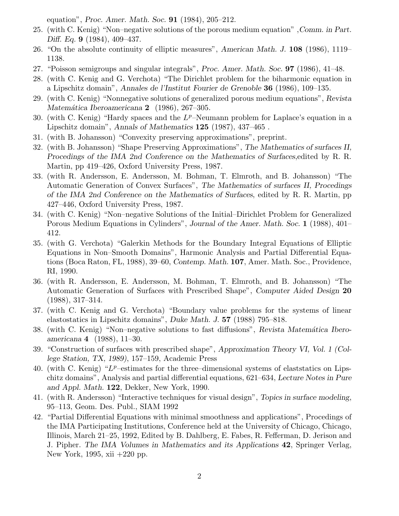equation", Proc. Amer. Math. Soc. 91 (1984), 205–212.

- 25. (with C. Kenig) "Non–negative solutions of the porous medium equation" ,Comm. in Part. Diff. Eq. 9 (1984), 409–437.
- 26. "On the absolute continuity of elliptic measures", American Math. J. 108 (1986), 1119– 1138.
- 27. "Poisson semigroups and singular integrals", Proc. Amer. Math. Soc. 97 (1986), 41–48.
- 28. (with C. Kenig and G. Verchota) "The Dirichlet problem for the biharmonic equation in a Lipschitz domain", Annales de l'Institut Fourier de Grenoble 36 (1986), 109–135.
- 29. (with C. Kenig) "Nonnegative solutions of generalized porous medium equations", Revista Matemática Iberoamericana 2  $(1986), 267-305.$
- 30. (with C. Kenig) "Hardy spaces and the  $L^p$ -Neumann problem for Laplace's equation in a Lipschitz domain", Annals of Mathematics 125 (1987), 437–465 .
- 31. (with B. Johansson) "Convexity preserving approximations", preprint.
- 32. (with B. Johansson) "Shape Preserving Approximations", The Mathematics of surfaces II, Procedings of the IMA 2nd Conference on the Mathematics of Surfaces,edited by R. R. Martin, pp 419–426, Oxford University Press, 1987.
- 33. (with R. Andersson, E. Andersson, M. Bohman, T. Elmroth, and B. Johansson) "The Automatic Generation of Convex Surfaces", The Mathematics of surfaces II, Procedings of the IMA 2nd Conference on the Mathematics of Surfaces, edited by R. R. Martin, pp 427–446, Oxford University Press, 1987.
- 34. (with C. Kenig) "Non–negative Solutions of the Initial–Dirichlet Problem for Generalized Porous Medium Equations in Cylinders", Journal of the Amer. Math. Soc. 1 (1988), 401– 412.
- 35. (with G. Verchota) "Galerkin Methods for the Boundary Integral Equations of Elliptic Equations in Non–Smooth Domains", Harmonic Analysis and Partial Differential Equations (Boca Raton, FL, 1988), 39–60, Contemp. Math. 107, Amer. Math. Soc., Providence, RI, 1990.
- 36. (with R. Andersson, E. Andersson, M. Bohman, T. Elmroth, and B. Johansson) "The Automatic Generation of Surfaces with Prescribed Shape", Computer Aided Design 20 (1988), 317–314.
- 37. (with C. Kenig and G. Verchota) "Boundary value problems for the systems of linear elastostatics in Lipschitz domains", Duke Math. J. 57 (1988) 795–818.
- 38. (with C. Kenig) "Non-negative solutions to fast diffusions", Revista Matemática Iberoamericana 4 (1988), 11–30.
- 39. "Construction of surfaces with prescribed shape", Approximation Theory VI, Vol. 1 (College Station, TX, 1989), 157–159, Academic Press
- 40. (with C. Kenig) " $L^p$ -estimates for the three-dimensional systems of elast statics on Lipschitz domains", Analysis and partial differential equations, 621–634, Lecture Notes in Pure and Appl. Math. 122, Dekker, New York, 1990.
- 41. (with R. Andersson) "Interactive techniques for visual design", Topics in surface modeling, 95–113, Geom. Des. Publ., SIAM 1992
- 42. "Partial Differential Equations with minimal smoothness and applications", Procedings of the IMA Participating Institutions, Conference held at the University of Chicago, Chicago, Illinois, March 21–25, 1992, Edited by B. Dahlberg, E. Fabes, R. Fefferman, D. Jerison and J. Pipher. The IMA Volumes in Mathematics and its Applications 42, Springer Verlag, New York, 1995, xii +220 pp.